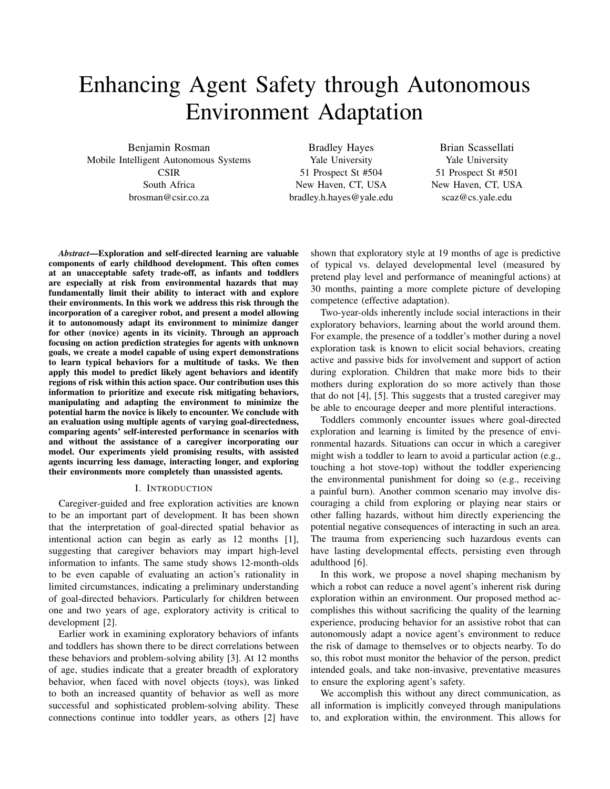# Enhancing Agent Safety through Autonomous Environment Adaptation

Benjamin Rosman Mobile Intelligent Autonomous Systems **CSIR** South Africa brosman@csir.co.za

Bradley Hayes Yale University 51 Prospect St #504 New Haven, CT, USA bradley.h.hayes@yale.edu

Brian Scassellati Yale University 51 Prospect St #501 New Haven, CT, USA scaz@cs.yale.edu

*Abstract*—Exploration and self-directed learning are valuable components of early childhood development. This often comes at an unacceptable safety trade-off, as infants and toddlers are especially at risk from environmental hazards that may fundamentally limit their ability to interact with and explore their environments. In this work we address this risk through the incorporation of a caregiver robot, and present a model allowing it to autonomously adapt its environment to minimize danger for other (novice) agents in its vicinity. Through an approach focusing on action prediction strategies for agents with unknown goals, we create a model capable of using expert demonstrations to learn typical behaviors for a multitude of tasks. We then apply this model to predict likely agent behaviors and identify regions of risk within this action space. Our contribution uses this information to prioritize and execute risk mitigating behaviors, manipulating and adapting the environment to minimize the potential harm the novice is likely to encounter. We conclude with an evaluation using multiple agents of varying goal-directedness, comparing agents' self-interested performance in scenarios with and without the assistance of a caregiver incorporating our model. Our experiments yield promising results, with assisted agents incurring less damage, interacting longer, and exploring their environments more completely than unassisted agents.

#### I. INTRODUCTION

Caregiver-guided and free exploration activities are known to be an important part of development. It has been shown that the interpretation of goal-directed spatial behavior as intentional action can begin as early as 12 months [1], suggesting that caregiver behaviors may impart high-level information to infants. The same study shows 12-month-olds to be even capable of evaluating an action's rationality in limited circumstances, indicating a preliminary understanding of goal-directed behaviors. Particularly for children between one and two years of age, exploratory activity is critical to development [2].

Earlier work in examining exploratory behaviors of infants and toddlers has shown there to be direct correlations between these behaviors and problem-solving ability [3]. At 12 months of age, studies indicate that a greater breadth of exploratory behavior, when faced with novel objects (toys), was linked to both an increased quantity of behavior as well as more successful and sophisticated problem-solving ability. These connections continue into toddler years, as others [2] have

shown that exploratory style at 19 months of age is predictive of typical vs. delayed developmental level (measured by pretend play level and performance of meaningful actions) at 30 months, painting a more complete picture of developing competence (effective adaptation).

Two-year-olds inherently include social interactions in their exploratory behaviors, learning about the world around them. For example, the presence of a toddler's mother during a novel exploration task is known to elicit social behaviors, creating active and passive bids for involvement and support of action during exploration. Children that make more bids to their mothers during exploration do so more actively than those that do not [4], [5]. This suggests that a trusted caregiver may be able to encourage deeper and more plentiful interactions.

Toddlers commonly encounter issues where goal-directed exploration and learning is limited by the presence of environmental hazards. Situations can occur in which a caregiver might wish a toddler to learn to avoid a particular action (e.g., touching a hot stove-top) without the toddler experiencing the environmental punishment for doing so (e.g., receiving a painful burn). Another common scenario may involve discouraging a child from exploring or playing near stairs or other falling hazards, without him directly experiencing the potential negative consequences of interacting in such an area. The trauma from experiencing such hazardous events can have lasting developmental effects, persisting even through adulthood [6].

In this work, we propose a novel shaping mechanism by which a robot can reduce a novel agent's inherent risk during exploration within an environment. Our proposed method accomplishes this without sacrificing the quality of the learning experience, producing behavior for an assistive robot that can autonomously adapt a novice agent's environment to reduce the risk of damage to themselves or to objects nearby. To do so, this robot must monitor the behavior of the person, predict intended goals, and take non-invasive, preventative measures to ensure the exploring agent's safety.

We accomplish this without any direct communication, as all information is implicitly conveyed through manipulations to, and exploration within, the environment. This allows for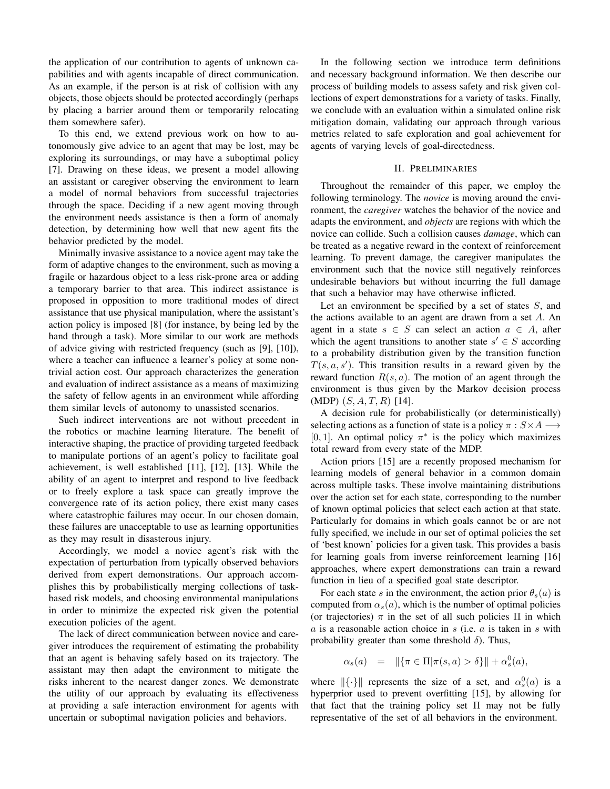the application of our contribution to agents of unknown capabilities and with agents incapable of direct communication. As an example, if the person is at risk of collision with any objects, those objects should be protected accordingly (perhaps by placing a barrier around them or temporarily relocating them somewhere safer).

To this end, we extend previous work on how to autonomously give advice to an agent that may be lost, may be exploring its surroundings, or may have a suboptimal policy [7]. Drawing on these ideas, we present a model allowing an assistant or caregiver observing the environment to learn a model of normal behaviors from successful trajectories through the space. Deciding if a new agent moving through the environment needs assistance is then a form of anomaly detection, by determining how well that new agent fits the behavior predicted by the model.

Minimally invasive assistance to a novice agent may take the form of adaptive changes to the environment, such as moving a fragile or hazardous object to a less risk-prone area or adding a temporary barrier to that area. This indirect assistance is proposed in opposition to more traditional modes of direct assistance that use physical manipulation, where the assistant's action policy is imposed [8] (for instance, by being led by the hand through a task). More similar to our work are methods of advice giving with restricted frequency (such as [9], [10]), where a teacher can influence a learner's policy at some nontrivial action cost. Our approach characterizes the generation and evaluation of indirect assistance as a means of maximizing the safety of fellow agents in an environment while affording them similar levels of autonomy to unassisted scenarios.

Such indirect interventions are not without precedent in the robotics or machine learning literature. The benefit of interactive shaping, the practice of providing targeted feedback to manipulate portions of an agent's policy to facilitate goal achievement, is well established [11], [12], [13]. While the ability of an agent to interpret and respond to live feedback or to freely explore a task space can greatly improve the convergence rate of its action policy, there exist many cases where catastrophic failures may occur. In our chosen domain, these failures are unacceptable to use as learning opportunities as they may result in disasterous injury.

Accordingly, we model a novice agent's risk with the expectation of perturbation from typically observed behaviors derived from expert demonstrations. Our approach accomplishes this by probabilistically merging collections of taskbased risk models, and choosing environmental manipulations in order to minimize the expected risk given the potential execution policies of the agent.

The lack of direct communication between novice and caregiver introduces the requirement of estimating the probability that an agent is behaving safely based on its trajectory. The assistant may then adapt the environment to mitigate the risks inherent to the nearest danger zones. We demonstrate the utility of our approach by evaluating its effectiveness at providing a safe interaction environment for agents with uncertain or suboptimal navigation policies and behaviors.

In the following section we introduce term definitions and necessary background information. We then describe our process of building models to assess safety and risk given collections of expert demonstrations for a variety of tasks. Finally, we conclude with an evaluation within a simulated online risk mitigation domain, validating our approach through various metrics related to safe exploration and goal achievement for agents of varying levels of goal-directedness.

## II. PRELIMINARIES

Throughout the remainder of this paper, we employ the following terminology. The *novice* is moving around the environment, the *caregiver* watches the behavior of the novice and adapts the environment, and *objects* are regions with which the novice can collide. Such a collision causes *damage*, which can be treated as a negative reward in the context of reinforcement learning. To prevent damage, the caregiver manipulates the environment such that the novice still negatively reinforces undesirable behaviors but without incurring the full damage that such a behavior may have otherwise inflicted.

Let an environment be specified by a set of states  $S$ , and the actions available to an agent are drawn from a set  $A$ . An agent in a state  $s \in S$  can select an action  $a \in A$ , after which the agent transitions to another state  $s' \in S$  according to a probability distribution given by the transition function  $T(s, a, s')$ . This transition results in a reward given by the reward function  $R(s, a)$ . The motion of an agent through the environment is thus given by the Markov decision process  $(MDP)$   $(S, A, T, R)$  [14].

A decision rule for probabilistically (or deterministically) selecting actions as a function of state is a policy  $\pi : S \times A \longrightarrow$ [0, 1]. An optimal policy  $\pi^*$  is the policy which maximizes total reward from every state of the MDP.

Action priors [15] are a recently proposed mechanism for learning models of general behavior in a common domain across multiple tasks. These involve maintaining distributions over the action set for each state, corresponding to the number of known optimal policies that select each action at that state. Particularly for domains in which goals cannot be or are not fully specified, we include in our set of optimal policies the set of 'best known' policies for a given task. This provides a basis for learning goals from inverse reinforcement learning [16] approaches, where expert demonstrations can train a reward function in lieu of a specified goal state descriptor.

For each state s in the environment, the action prior  $\theta_s(a)$  is computed from  $\alpha_s(a)$ , which is the number of optimal policies (or trajectories)  $\pi$  in the set of all such policies  $\Pi$  in which  $a$  is a reasonable action choice in  $s$  (i.e.  $a$  is taken in  $s$  with probability greater than some threshold  $\delta$ ). Thus,

$$
\alpha_s(a) \quad = \quad \|\{\pi \in \Pi | \pi(s,a) > \delta\}\| + \alpha_s^0(a),
$$

where  $\|\{\cdot\}\|$  represents the size of a set, and  $\alpha_s^0(a)$  is a hyperprior used to prevent overfitting [15], by allowing for that fact that the training policy set  $\Pi$  may not be fully representative of the set of all behaviors in the environment.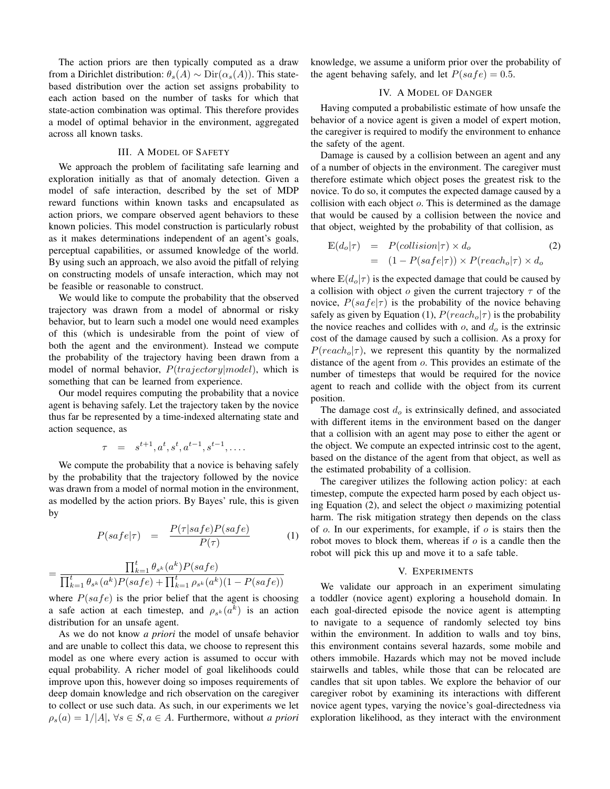The action priors are then typically computed as a draw from a Dirichlet distribution:  $\theta_s(A) \sim \text{Dir}(\alpha_s(A))$ . This statebased distribution over the action set assigns probability to each action based on the number of tasks for which that state-action combination was optimal. This therefore provides a model of optimal behavior in the environment, aggregated across all known tasks.

# III. A MODEL OF SAFETY

We approach the problem of facilitating safe learning and exploration initially as that of anomaly detection. Given a model of safe interaction, described by the set of MDP reward functions within known tasks and encapsulated as action priors, we compare observed agent behaviors to these known policies. This model construction is particularly robust as it makes determinations independent of an agent's goals, perceptual capabilities, or assumed knowledge of the world. By using such an approach, we also avoid the pitfall of relying on constructing models of unsafe interaction, which may not be feasible or reasonable to construct.

We would like to compute the probability that the observed trajectory was drawn from a model of abnormal or risky behavior, but to learn such a model one would need examples of this (which is undesirable from the point of view of both the agent and the environment). Instead we compute the probability of the trajectory having been drawn from a model of normal behavior,  $P(trajectory|model)$ , which is something that can be learned from experience.

Our model requires computing the probability that a novice agent is behaving safely. Let the trajectory taken by the novice thus far be represented by a time-indexed alternating state and action sequence, as

$$
\tau = s^{t+1}, a^t, s^t, a^{t-1}, s^{t-1}, \ldots
$$

We compute the probability that a novice is behaving safely by the probability that the trajectory followed by the novice was drawn from a model of normal motion in the environment, as modelled by the action priors. By Bayes' rule, this is given by

$$
P(safe|\tau) = \frac{P(\tau|safe)P(safe)}{P(\tau)} \tag{1}
$$

$$
= \frac{\prod_{k=1}^{t} \theta_{s^k}(a^k) P(safe)}{\prod_{k=1}^{t} \theta_{s^k}(a^k) P(safe) + \prod_{k=1}^{t} \rho_{s^k}(a^k) (1 - P(safe))}
$$

where  $P(safe)$  is the prior belief that the agent is choosing a safe action at each timestep, and  $\rho_{s^k}(a^k)$  is an action distribution for an unsafe agent.

As we do not know *a priori* the model of unsafe behavior and are unable to collect this data, we choose to represent this model as one where every action is assumed to occur with equal probability. A richer model of goal likelihoods could improve upon this, however doing so imposes requirements of deep domain knowledge and rich observation on the caregiver to collect or use such data. As such, in our experiments we let  $\rho_s(a) = 1/|A|, \forall s \in S, a \in A$ . Furthermore, without *a priori*  knowledge, we assume a uniform prior over the probability of the agent behaving safely, and let  $P(safe) = 0.5$ .

# IV. A MODEL OF DANGER

Having computed a probabilistic estimate of how unsafe the behavior of a novice agent is given a model of expert motion, the caregiver is required to modify the environment to enhance the safety of the agent.

Damage is caused by a collision between an agent and any of a number of objects in the environment. The caregiver must therefore estimate which object poses the greatest risk to the novice. To do so, it computes the expected damage caused by a collision with each object o. This is determined as the damage that would be caused by a collision between the novice and that object, weighted by the probability of that collision, as

$$
\mathbb{E}(d_o|\tau) = P(collision|\tau) \times d_o \tag{2}
$$
\n
$$
= (1 - P(safe|\tau)) \times P(reach_o|\tau) \times d_o
$$

where  $\mathbb{E}(d_o|\tau)$  is the expected damage that could be caused by a collision with object  $o$  given the current trajectory  $\tau$  of the novice,  $P(safe|\tau)$  is the probability of the novice behaving safely as given by Equation (1),  $P(reach<sub>o</sub>|\tau)$  is the probability the novice reaches and collides with  $o$ , and  $d<sub>o</sub>$  is the extrinsic cost of the damage caused by such a collision. As a proxy for  $P(reach<sub>o</sub>|\tau)$ , we represent this quantity by the normalized distance of the agent from o. This provides an estimate of the number of timesteps that would be required for the novice agent to reach and collide with the object from its current position.

The damage cost  $d<sub>o</sub>$  is extrinsically defined, and associated with different items in the environment based on the danger that a collision with an agent may pose to either the agent or the object. We compute an expected intrinsic cost to the agent, based on the distance of the agent from that object, as well as the estimated probability of a collision.

The caregiver utilizes the following action policy: at each timestep, compute the expected harm posed by each object using Equation  $(2)$ , and select the object  $\sigma$  maximizing potential harm. The risk mitigation strategy then depends on the class of  $\alpha$ . In our experiments, for example, if  $\alpha$  is stairs then the robot moves to block them, whereas if  $o$  is a candle then the robot will pick this up and move it to a safe table.

# V. EXPERIMENTS

We validate our approach in an experiment simulating a toddler (novice agent) exploring a household domain. In each goal-directed episode the novice agent is attempting to navigate to a sequence of randomly selected toy bins within the environment. In addition to walls and toy bins, this environment contains several hazards, some mobile and others immobile. Hazards which may not be moved include stairwells and tables, while those that can be relocated are candles that sit upon tables. We explore the behavior of our caregiver robot by examining its interactions with different novice agent types, varying the novice's goal-directedness via exploration likelihood, as they interact with the environment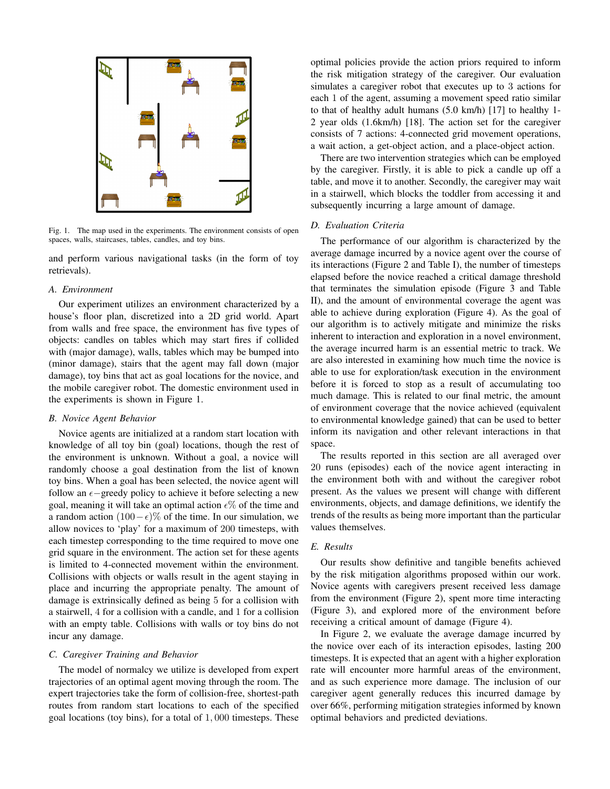

Fig. 1. The map used in the experiments. The environment consists of open spaces, walls, staircases, tables, candles, and toy bins.

and perform various navigational tasks (in the form of toy retrievals).

## *A. Environment*

Our experiment utilizes an environment characterized by a house's floor plan, discretized into a 2D grid world. Apart from walls and free space, the environment has five types of objects: candles on tables which may start fires if collided with (major damage), walls, tables which may be bumped into (minor damage), stairs that the agent may fall down (major damage), toy bins that act as goal locations for the novice, and the mobile caregiver robot. The domestic environment used in the experiments is shown in Figure 1.

#### *B. Novice Agent Behavior*

Novice agents are initialized at a random start location with knowledge of all toy bin (goal) locations, though the rest of the environment is unknown. Without a goal, a novice will randomly choose a goal destination from the list of known toy bins. When a goal has been selected, the novice agent will follow an  $\epsilon$ -greedy policy to achieve it before selecting a new goal, meaning it will take an optimal action  $\epsilon\%$  of the time and a random action  $(100 - \epsilon)$ % of the time. In our simulation, we allow novices to 'play' for a maximum of 200 timesteps, with each timestep corresponding to the time required to move one grid square in the environment. The action set for these agents is limited to 4-connected movement within the environment. Collisions with objects or walls result in the agent staying in place and incurring the appropriate penalty. The amount of damage is extrinsically defined as being 5 for a collision with a stairwell, 4 for a collision with a candle, and 1 for a collision with an empty table. Collisions with walls or toy bins do not incur any damage.

#### *C. Caregiver Training and Behavior*

The model of normalcy we utilize is developed from expert trajectories of an optimal agent moving through the room. The expert trajectories take the form of collision-free, shortest-path routes from random start locations to each of the specified goal locations (toy bins), for a total of 1, 000 timesteps. These

optimal policies provide the action priors required to inform the risk mitigation strategy of the caregiver. Our evaluation simulates a caregiver robot that executes up to 3 actions for each 1 of the agent, assuming a movement speed ratio similar to that of healthy adult humans (5.0 km/h) [17] to healthy 1- 2 year olds (1.6km/h) [18]. The action set for the caregiver consists of 7 actions: 4-connected grid movement operations, a wait action, a get-object action, and a place-object action.

There are two intervention strategies which can be employed by the caregiver. Firstly, it is able to pick a candle up off a table, and move it to another. Secondly, the caregiver may wait in a stairwell, which blocks the toddler from accessing it and subsequently incurring a large amount of damage.

#### *D. Evaluation Criteria*

The performance of our algorithm is characterized by the average damage incurred by a novice agent over the course of its interactions (Figure 2 and Table I), the number of timesteps elapsed before the novice reached a critical damage threshold that terminates the simulation episode (Figure 3 and Table II), and the amount of environmental coverage the agent was able to achieve during exploration (Figure 4). As the goal of our algorithm is to actively mitigate and minimize the risks inherent to interaction and exploration in a novel environment, the average incurred harm is an essential metric to track. We are also interested in examining how much time the novice is able to use for exploration/task execution in the environment before it is forced to stop as a result of accumulating too much damage. This is related to our final metric, the amount of environment coverage that the novice achieved (equivalent to environmental knowledge gained) that can be used to better inform its navigation and other relevant interactions in that space.

The results reported in this section are all averaged over 20 runs (episodes) each of the novice agent interacting in the environment both with and without the caregiver robot present. As the values we present will change with different environments, objects, and damage definitions, we identify the trends of the results as being more important than the particular values themselves.

## *E. Results*

Our results show definitive and tangible benefits achieved by the risk mitigation algorithms proposed within our work. Novice agents with caregivers present received less damage from the environment (Figure 2), spent more time interacting (Figure 3), and explored more of the environment before receiving a critical amount of damage (Figure 4).

In Figure 2, we evaluate the average damage incurred by the novice over each of its interaction episodes, lasting 200 timesteps. It is expected that an agent with a higher exploration rate will encounter more harmful areas of the environment, and as such experience more damage. The inclusion of our caregiver agent generally reduces this incurred damage by over 66%, performing mitigation strategies informed by known optimal behaviors and predicted deviations.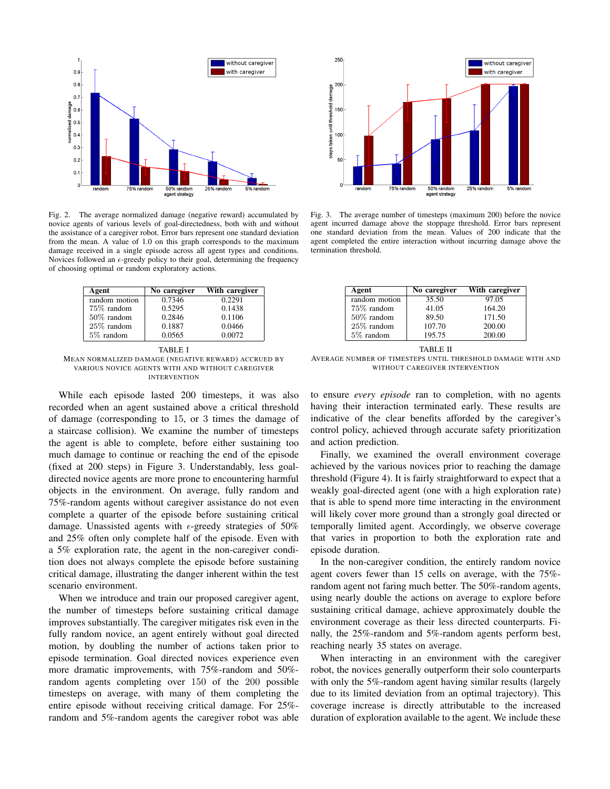

Fig. 2. The average normalized damage (negative reward) accumulated by novice agents of various levels of goal-directedness, both with and without the assistance of a caregiver robot. Error bars represent one standard deviation from the mean. A value of 1.0 on this graph corresponds to the maximum damage received in a single episode across all agent types and conditions. Novices followed an  $\epsilon$ -greedy policy to their goal, determining the frequency of choosing optimal or random exploratory actions.

| Agent         | No caregiver | With caregiver |
|---------------|--------------|----------------|
| random motion | 0.7346       | 0.2291         |
| 75% random    | 0.5295       | 0.1438         |
| 50% random    | 0.2846       | 0.1106         |
| $25\%$ random | 0.1887       | 0.0466         |
| 5\% random    | 0.0565       | 0.0072         |

TABLE I MEAN NORMALIZED DAMAGE (NEGATIVE REWARD) ACCRUED BY VARIOUS NOVICE AGENTS WITH AND WITHOUT CAREGIVER INTERVENTION

While each episode lasted 200 timesteps, it was also recorded when an agent sustained above a critical threshold of damage (corresponding to 15, or 3 times the damage of a staircase collision). We examine the number of timesteps the agent is able to complete, before either sustaining too much damage to continue or reaching the end of the episode (fixed at 200 steps) in Figure 3. Understandably, less goaldirected novice agents are more prone to encountering harmful objects in the environment. On average, fully random and 75%-random agents without caregiver assistance do not even complete a quarter of the episode before sustaining critical damage. Unassisted agents with  $\epsilon$ -greedy strategies of 50% and 25% often only complete half of the episode. Even with a 5% exploration rate, the agent in the non-caregiver condition does not always complete the episode before sustaining critical damage, illustrating the danger inherent within the test scenario environment.

When we introduce and train our proposed caregiver agent, the number of timesteps before sustaining critical damage improves substantially. The caregiver mitigates risk even in the fully random novice, an agent entirely without goal directed motion, by doubling the number of actions taken prior to episode termination. Goal directed novices experience even more dramatic improvements, with 75%-random and 50% random agents completing over 150 of the 200 possible timesteps on average, with many of them completing the entire episode without receiving critical damage. For 25% random and 5%-random agents the caregiver robot was able



Fig. 3. The average number of timesteps (maximum 200) before the novice agent incurred damage above the stoppage threshold. Error bars represent one standard deviation from the mean. Values of 200 indicate that the agent completed the entire interaction without incurring damage above the termination threshold.

| Agent         | No caregiver | With caregiver |
|---------------|--------------|----------------|
| random motion | 35.50        | 97.05          |
| 75% random    | 41.05        | 164.20         |
| 50% random    | 89.50        | 171.50         |
| $25\%$ random | 107.70       | 200.00         |
| 5% random     | 195.75       | 200.00         |

TABLE II

AVERAGE NUMBER OF TIMESTEPS UNTIL THRESHOLD DAMAGE WITH AND WITHOUT CAREGIVER INTERVENTION

to ensure *every episode* ran to completion, with no agents having their interaction terminated early. These results are indicative of the clear benefits afforded by the caregiver's control policy, achieved through accurate safety prioritization and action prediction.

Finally, we examined the overall environment coverage achieved by the various novices prior to reaching the damage threshold (Figure 4). It is fairly straightforward to expect that a weakly goal-directed agent (one with a high exploration rate) that is able to spend more time interacting in the environment will likely cover more ground than a strongly goal directed or temporally limited agent. Accordingly, we observe coverage that varies in proportion to both the exploration rate and episode duration.

In the non-caregiver condition, the entirely random novice agent covers fewer than 15 cells on average, with the 75% random agent not faring much better. The 50%-random agents, using nearly double the actions on average to explore before sustaining critical damage, achieve approximately double the environment coverage as their less directed counterparts. Finally, the 25%-random and 5%-random agents perform best, reaching nearly 35 states on average.

When interacting in an environment with the caregiver robot, the novices generally outperform their solo counterparts with only the 5%-random agent having similar results (largely due to its limited deviation from an optimal trajectory). This coverage increase is directly attributable to the increased duration of exploration available to the agent. We include these